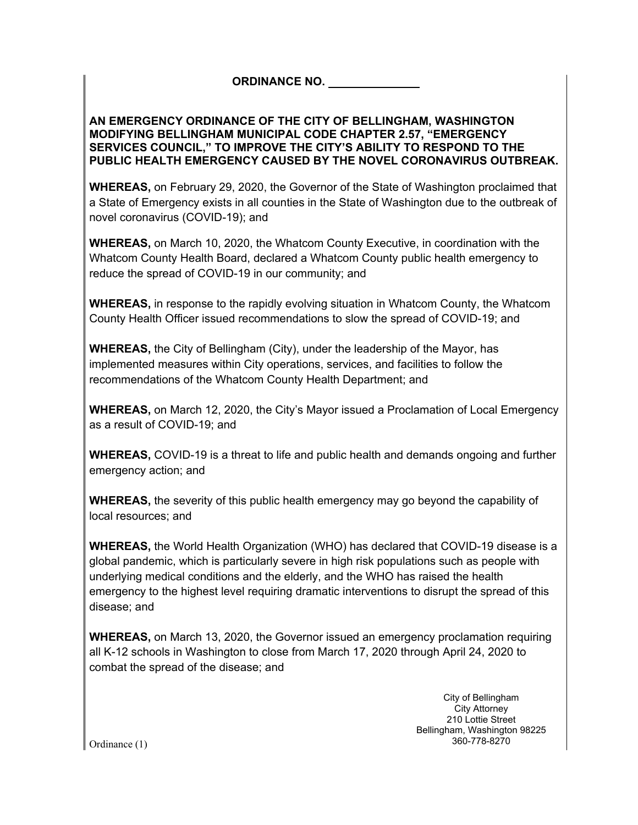# **ORDINANCE NO.**

#### **AN EMERGENCY ORDINANCE OF THE CITY OF BELLINGHAM, WASHINGTON MODIFYING BELLINGHAM MUNICIPAL CODE CHAPTER 2.57, "EMERGENCY SERVICES COUNCIL," TO IMPROVE THE CITY'S ABILITY TO RESPOND TO THE PUBLIC HEALTH EMERGENCY CAUSED BY THE NOVEL CORONAVIRUS OUTBREAK.**

**WHEREAS,** on February 29, 2020, the Governor of the State of Washington proclaimed that a State of Emergency exists in all counties in the State of Washington due to the outbreak of novel coronavirus (COVID-19); and

**WHEREAS,** on March 10, 2020, the Whatcom County Executive, in coordination with the Whatcom County Health Board, declared a Whatcom County public health emergency to reduce the spread of COVID-19 in our community; and

**WHEREAS,** in response to the rapidly evolving situation in Whatcom County, the Whatcom County Health Officer issued recommendations to slow the spread of COVID-19; and

**WHEREAS,** the City of Bellingham (City), under the leadership of the Mayor, has implemented measures within City operations, services, and facilities to follow the recommendations of the Whatcom County Health Department; and

**WHEREAS,** on March 12, 2020, the City's Mayor issued a Proclamation of Local Emergency as a result of COVID-19; and

**WHEREAS,** COVID-19 is a threat to life and public health and demands ongoing and further emergency action; and

**WHEREAS,** the severity of this public health emergency may go beyond the capability of local resources; and

**WHEREAS,** the World Health Organization (WHO) has declared that COVID-19 disease is a global pandemic, which is particularly severe in high risk populations such as people with underlying medical conditions and the elderly, and the WHO has raised the health emergency to the highest level requiring dramatic interventions to disrupt the spread of this disease; and

**WHEREAS,** on March 13, 2020, the Governor issued an emergency proclamation requiring all K-12 schools in Washington to close from March 17, 2020 through April 24, 2020 to combat the spread of the disease; and

> City of Bellingham City Attorney 210 Lottie Street Bellingham, Washington 98225 360-778-8270

Ordinance (1)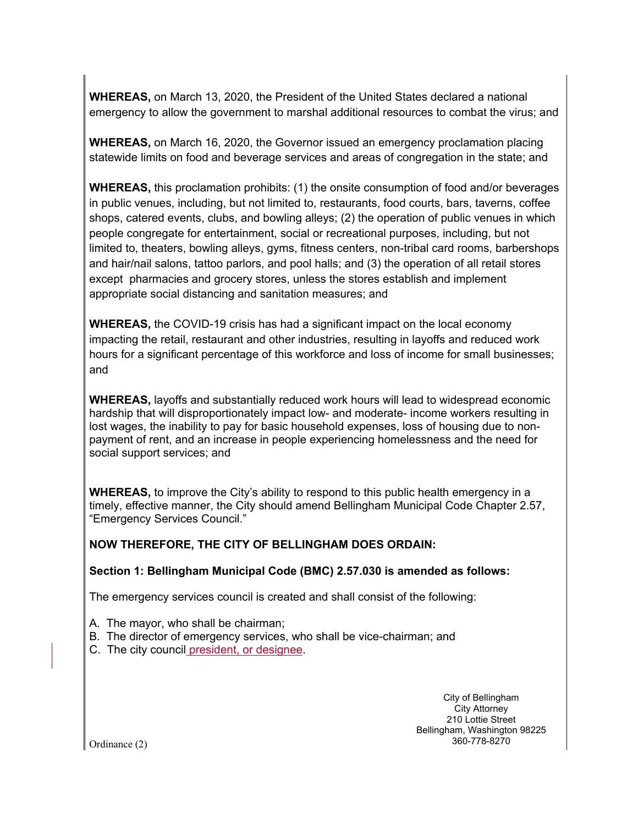**WHEREAS,** on March 13, 2020, the President of the United States declared a national emergency to allow the government to marshal additional resources to combat the virus; and

**WHEREAS,** on March 16, 2020, the Governor issued an emergency proclamation placing statewide limits on food and beverage services and areas of congregation in the state; and

**WHEREAS,** this proclamation prohibits: (1) the onsite consumption of food and/or beverages in public venues, including, but not limited to, restaurants, food courts, bars, taverns, coffee shops, catered events, clubs, and bowling alleys; (2) the operation of public venues in which people congregate for entertainment, social or recreational purposes, including, but not limited to, theaters, bowling alleys, gyms, fitness centers, non-tribal card rooms, barbershops and hair/nail salons, tattoo parlors, and pool halls; and (3) the operation of all retail stores except pharmacies and grocery stores, unless the stores establish and implement appropriate social distancing and sanitation measures; and

**WHEREAS,** the COVID-19 crisis has had a significant impact on the local economy impacting the retail, restaurant and other industries, resulting in layoffs and reduced work hours for a significant percentage of this workforce and loss of income for small businesses; and

**WHEREAS,** layoffs and substantially reduced work hours will lead to widespread economic hardship that will disproportionately impact low- and moderate- income workers resulting in lost wages, the inability to pay for basic household expenses, loss of housing due to nonpayment of rent, and an increase in people experiencing homelessness and the need for social support services; and

**WHEREAS,** to improve the City's ability to respond to this public health emergency in a timely, effective manner, the City should amend Bellingham Municipal Code Chapter 2.57, "Emergency Services Council."

## **NOW THEREFORE, THE CITY OF BELLINGHAM DOES ORDAIN:**

#### **Section 1: Bellingham Municipal Code (BMC) 2.57.030 is amended as follows:**

The emergency services council is created and shall consist of the following:

A. The mayor, who shall be chairman;

- B. The director of emergency services, who shall be vice-chairman; and
- C. The city council president, or designee.

City of Bellingham City Attorney 210 Lottie Street Bellingham, Washington 98225 360-778-8270

Ordinance (2)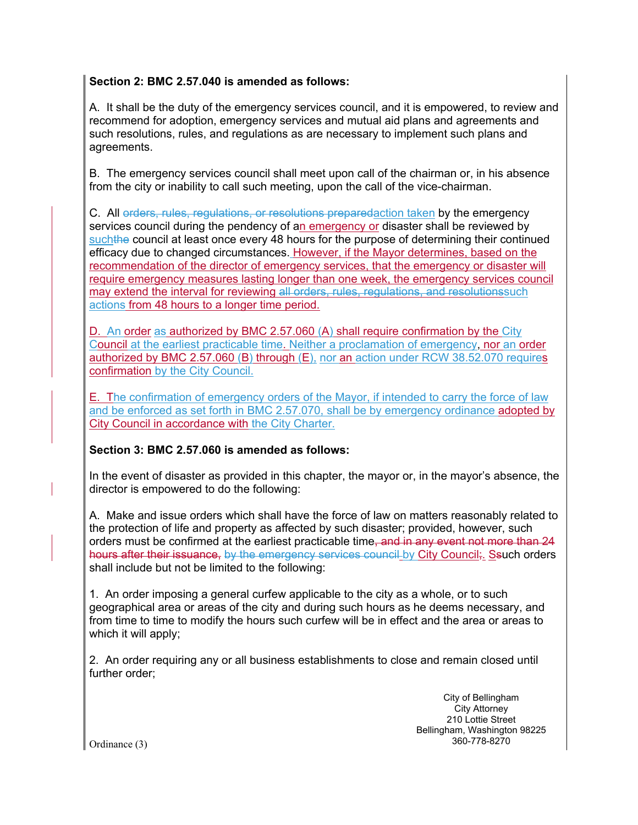### **Section 2: BMC 2.57.040 is amended as follows:**

A. It shall be the duty of the emergency services council, and it is empowered, to review and recommend for adoption, emergency services and mutual aid plans and agreements and such resolutions, rules, and regulations as are necessary to implement such plans and agreements.

B. The emergency services council shall meet upon call of the chairman or, in his absence from the city or inability to call such meeting, upon the call of the vice-chairman.

C. All orders, rules, regulations, or resolutions preparedaction taken by the emergency services council during the pendency of an emergency or disaster shall be reviewed by suchthe council at least once every 48 hours for the purpose of determining their continued efficacy due to changed circumstances. However, if the Mayor determines, based on the recommendation of the director of emergency services, that the emergency or disaster will require emergency measures lasting longer than one week, the emergency services council may extend the interval for reviewing all orders, rules, regulations, and resolutionssuch actions from 48 hours to a longer time period.

D. An order as authorized by BMC 2.57.060 (A) shall require confirmation by the City Council at the earliest practicable time. Neither a proclamation of emergency, nor an order authorized by BMC 2.57.060 (B) through (E), nor an action under RCW 38.52.070 requires confirmation by the City Council.

E. The confirmation of emergency orders of the Mayor, if intended to carry the force of law and be enforced as set forth in BMC 2.57.070, shall be by emergency ordinance adopted by City Council in accordance with the City Charter.

## **Section 3: BMC 2.57.060 is amended as follows:**

In the event of disaster as provided in this chapter, the mayor or, in the mayor's absence, the director is empowered to do the following:

A. Make and issue orders which shall have the force of law on matters reasonably related to the protection of life and property as affected by such disaster; provided, however, such orders must be confirmed at the earliest practicable time, and in any event not more than 24 hours after their issuance, by the emergency services council-by City Council;. Ssuch orders shall include but not be limited to the following:

1. An order imposing a general curfew applicable to the city as a whole, or to such geographical area or areas of the city and during such hours as he deems necessary, and from time to time to modify the hours such curfew will be in effect and the area or areas to which it will apply;

2. An order requiring any or all business establishments to close and remain closed until further order;

> City of Bellingham City Attorney 210 Lottie Street Bellingham, Washington 98225 360-778-8270

Ordinance (3)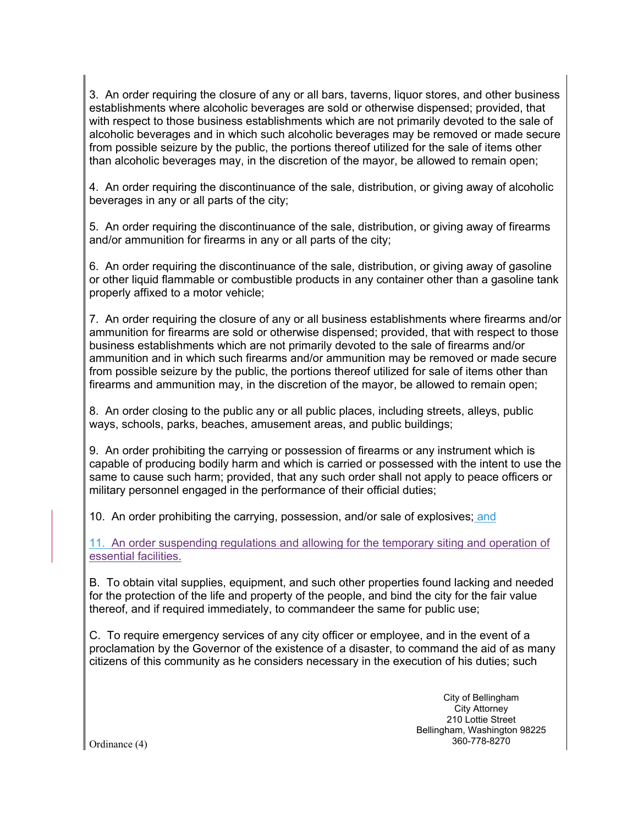3. An order requiring the closure of any or all bars, taverns, liquor stores, and other business establishments where alcoholic beverages are sold or otherwise dispensed; provided, that with respect to those business establishments which are not primarily devoted to the sale of alcoholic beverages and in which such alcoholic beverages may be removed or made secure from possible seizure by the public, the portions thereof utilized for the sale of items other than alcoholic beverages may, in the discretion of the mayor, be allowed to remain open;

4. An order requiring the discontinuance of the sale, distribution, or giving away of alcoholic beverages in any or all parts of the city;

5. An order requiring the discontinuance of the sale, distribution, or giving away of firearms and/or ammunition for firearms in any or all parts of the city;

6. An order requiring the discontinuance of the sale, distribution, or giving away of gasoline or other liquid flammable or combustible products in any container other than a gasoline tank properly affixed to a motor vehicle;

7. An order requiring the closure of any or all business establishments where firearms and/or ammunition for firearms are sold or otherwise dispensed; provided, that with respect to those business establishments which are not primarily devoted to the sale of firearms and/or ammunition and in which such firearms and/or ammunition may be removed or made secure from possible seizure by the public, the portions thereof utilized for sale of items other than firearms and ammunition may, in the discretion of the mayor, be allowed to remain open;

8. An order closing to the public any or all public places, including streets, alleys, public ways, schools, parks, beaches, amusement areas, and public buildings;

9. An order prohibiting the carrying or possession of firearms or any instrument which is capable of producing bodily harm and which is carried or possessed with the intent to use the same to cause such harm; provided, that any such order shall not apply to peace officers or military personnel engaged in the performance of their official duties;

10. An order prohibiting the carrying, possession, and/or sale of explosives; and

11. An order suspending regulations and allowing for the temporary siting and operation of essential facilities.

B. To obtain vital supplies, equipment, and such other properties found lacking and needed for the protection of the life and property of the people, and bind the city for the fair value thereof, and if required immediately, to commandeer the same for public use;

C. To require emergency services of any city officer or employee, and in the event of a proclamation by the Governor of the existence of a disaster, to command the aid of as many citizens of this community as he considers necessary in the execution of his duties; such

> City of Bellingham City Attorney 210 Lottie Street Bellingham, Washington 98225 360-778-8270

Ordinance (4)